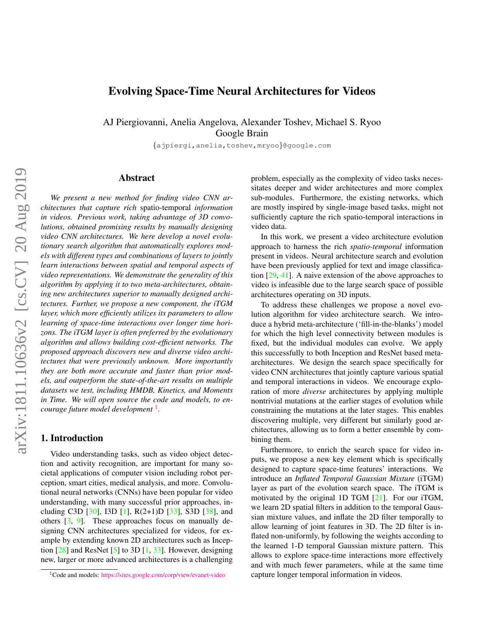# <span id="page-0-1"></span>Evolving Space-Time Neural Architectures for Videos

AJ Piergiovanni, Anelia Angelova, Alexander Toshev, Michael S. Ryoo Google Brain

{ajpiergi,anelia,toshev,mryoo}@google.com

## Abstract

*We present a new method for finding video CNN architectures that capture rich* spatio-temporal *information in videos. Previous work, taking advantage of 3D convolutions, obtained promising results by manually designing video CNN architectures. We here develop a novel evolutionary search algorithm that automatically explores models with different types and combinations of layers to jointly learn interactions between spatial and temporal aspects of video representations. We demonstrate the generality of this algorithm by applying it to two meta-architectures, obtaining new architectures superior to manually designed architectures. Further, we propose a new component, the iTGM layer, which more efficiently utilizes its parameters to allow learning of space-time interactions over longer time horizons. The iTGM layer is often preferred by the evolutionary algorithm and allows building cost-efficient networks. The proposed approach discovers new and diverse video architectures that were previously unknown. More importantly they are both more accurate and faster than prior models, and outperform the state-of-the-art results on multiple datasets we test, including HMDB, Kinetics, and Moments in Time. We will open source the code and models, to encourage future model development* [1](#page-0-0) *.*

## 1. Introduction

Video understanding tasks, such as video object detection and activity recognition, are important for many societal applications of computer vision including robot perception, smart cities, medical analysis, and more. Convolutional neural networks (CNNs) have been popular for video understanding, with many successful prior approaches, including C3D  $[30]$ , I3D  $[1]$ , R(2+1)D  $[33]$ , S3D  $[38]$ , and others [\[3,](#page-8-1) [9\]](#page-8-2). These approaches focus on manually designing CNN architectures specialized for videos, for example by extending known 2D architectures such as Inception  $\lceil 28 \rceil$  and ResNet  $\lceil 5 \rceil$  to 3D  $\lceil 1, 33 \rceil$ . However, designing new, larger or more advanced architectures is a challenging problem, especially as the complexity of video tasks necessitates deeper and wider architectures and more complex sub-modules. Furthermore, the existing networks, which are mostly inspired by single-image based tasks, might not sufficiently capture the rich spatio-temporal interactions in video data.

In this work, we present a video architecture evolution approach to harness the rich *spatio-temporal* information present in videos. Neural architecture search and evolution have been previously applied for text and image classification [\[29,](#page-8-5) [41\]](#page-9-3). A naive extension of the above approaches to video is infeasible due to the large search space of possible architectures operating on 3D inputs.

To address these challenges we propose a novel evolution algorithm for video architecture search. We introduce a hybrid meta-architecture ('fill-in-the-blanks') model for which the high level connectivity between modules is fixed, but the individual modules can evolve. We apply this successfully to both Inception and ResNet based metaarchitectures. We design the search space specifically for video CNN architectures that jointly capture various spatial and temporal interactions in videos. We encourage exploration of more *diverse* architectures by applying multiple nontrivial mutations at the earlier stages of evolution while constraining the mutations at the later stages. This enables discovering multiple, very different but similarly good architectures, allowing us to form a better ensemble by combining them.

Furthermore, to enrich the search space for video inputs, we propose a new key element which is specifically designed to capture space-time features' interactions. We introduce an *Inflated Temporal Gaussian Mixture* (iTGM) layer as part of the evolution search space. The iTGM is motivated by the original 1D TGM [\[21\]](#page-8-6). For our iTGM, we learn 2D spatial filters in addition to the temporal Gaussian mixture values, and inflate the 2D filter temporally to allow learning of joint features in 3D. The 2D filter is inflated non-uniformly, by following the weights according to the learned 1-D temporal Gaussian mixture pattern. This allows to explore space-time interactions more effectively and with much fewer parameters, while at the same time capture longer temporal information in videos.

<span id="page-0-0"></span><sup>1</sup>Code and models: <https://sites.google.com/corp/view/evanet-video>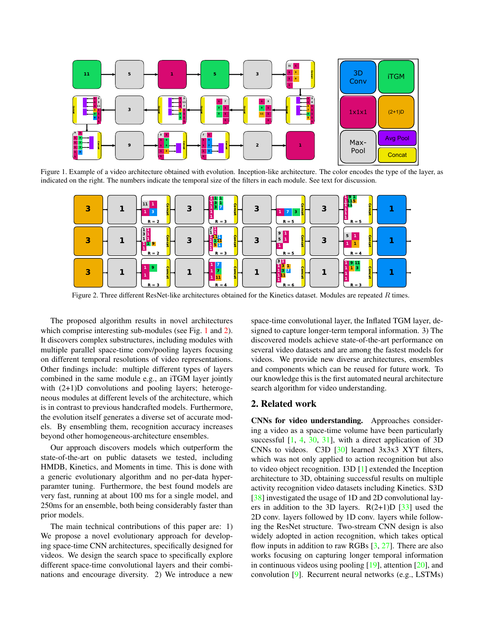<span id="page-1-2"></span>

Figure 1. Example of a video architecture obtained with evolution. Inception-like architecture. The color encodes the type of the layer, as indicated on the right. The numbers indicate the temporal size of the filters in each module. See text for discussion.

<span id="page-1-0"></span>

<span id="page-1-1"></span>Figure 2. Three different ResNet-like architectures obtained for the Kinetics dataset. Modules are repeated  $R$  times.

The proposed algorithm results in novel architectures which comprise interesting sub-modules (see Fig. [1](#page-1-0) and [2\)](#page-1-1). It discovers complex substructures, including modules with multiple parallel space-time conv/pooling layers focusing on different temporal resolutions of video representations. Other findings include: multiple different types of layers combined in the same module e.g., an iTGM layer jointly with  $(2+1)D$  convolutions and pooling layers; heterogeneous modules at different levels of the architecture, which is in contrast to previous handcrafted models. Furthermore, the evolution itself generates a diverse set of accurate models. By ensembling them, recognition accuracy increases beyond other homogeneous-architecture ensembles.

Our approach discovers models which outperform the state-of-the-art on public datasets we tested, including HMDB, Kinetics, and Moments in time. This is done with a generic evolutionary algorithm and no per-data hyperparamter tuning. Furthermore, the best found models are very fast, running at about 100 ms for a single model, and 250ms for an ensemble, both being considerably faster than prior models.

The main technical contributions of this paper are: 1) We propose a novel evolutionary approach for developing space-time CNN architectures, specifically designed for videos. We design the search space to specifically explore different space-time convolutional layers and their combinations and encourage diversity. 2) We introduce a new

space-time convolutional layer, the Inflated TGM layer, designed to capture longer-term temporal information. 3) The discovered models achieve state-of-the-art performance on several video datasets and are among the fastest models for videos. We provide new diverse architectures, ensembles and components which can be reused for future work. To our knowledge this is the first automated neural architecture search algorithm for video understanding.

## 2. Related work

CNNs for video understanding. Approaches considering a video as a space-time volume have been particularly successful  $[1, 4, 30, 31]$  $[1, 4, 30, 31]$  $[1, 4, 30, 31]$  $[1, 4, 30, 31]$  $[1, 4, 30, 31]$  $[1, 4, 30, 31]$  $[1, 4, 30, 31]$ , with a direct application of 3D CNNs to videos. C3D [\[30\]](#page-9-0) learned 3x3x3 XYT filters, which was not only applied to action recognition but also to video object recognition. I3D [\[1\]](#page-8-0) extended the Inception architecture to 3D, obtaining successful results on multiple activity recognition video datasets including Kinetics. S3D [\[38\]](#page-9-2) investigated the usage of 1D and 2D convolutional layers in addition to the 3D layers.  $R(2+1)D [33]$  $R(2+1)D [33]$  used the 2D conv. layers followed by 1D conv. layers while following the ResNet structure. Two-stream CNN design is also widely adopted in action recognition, which takes optical flow inputs in addition to raw RGBs [\[3,](#page-8-1) [27\]](#page-8-8). There are also works focusing on capturing longer temporal information in continuous videos using pooling [\[19\]](#page-8-9), attention [\[20\]](#page-8-10), and convolution [\[9\]](#page-8-2). Recurrent neural networks (e.g., LSTMs)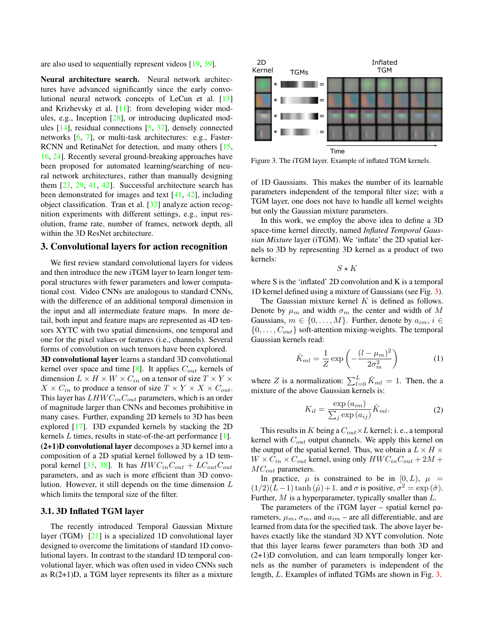<span id="page-2-1"></span>are also used to sequentially represent videos [\[19,](#page-8-9) [39\]](#page-9-5).

Neural architecture search. Neural network architectures have advanced significantly since the early convolutional neural network concepts of LeCun et al. [\[13\]](#page-8-11) and Krizhevsky et al. [\[11\]](#page-8-12): from developing wider modules, e.g., Inception [\[28\]](#page-8-3), or introducing duplicated modules [\[14\]](#page-8-13), residual connections [\[5,](#page-8-4) [37\]](#page-9-6), densely connected networks [\[6,](#page-8-14) [7\]](#page-8-15), or multi-task architectures: e.g., Faster-RCNN and RetinaNet for detection, and many others [\[15,](#page-8-16) [16,](#page-8-17) [24\]](#page-8-18). Recently several ground-breaking approaches have been proposed for automated learning/searching of neural network architectures, rather than manually designing them [\[23,](#page-8-19) [29,](#page-8-5) [41,](#page-9-3) [42\]](#page-9-7). Successful architecture search has been demonstrated for images and text [\[41,](#page-9-3) [42\]](#page-9-7), including object classification. Tran et al. [\[32\]](#page-9-8) analyze action recognition experiments with different settings, e.g., input resolution, frame rate, number of frames, network depth, all within the 3D ResNet architecture.

### 3. Convolutional layers for action recognition

We first review standard convolutional layers for videos and then introduce the new iTGM layer to learn longer temporal structures with fewer parameters and lower computational cost. Video CNNs are analogous to standard CNNs, with the difference of an additional temporal dimension in the input and all intermediate feature maps. In more detail, both input and feature maps are represented as 4D tensors XYTC with two spatial dimensions, one temporal and one for the pixel values or features (i.e., channels). Several forms of convolution on such tensors have been explored.

3D convolutional layer learns a standard 3D convolutional kernel over space and time [\[8\]](#page-8-20). It applies  $C_{out}$  kernels of dimension  $L \times H \times W \times C_{in}$  on a tensor of size  $T \times Y \times$  $X \times C_{in}$  to produce a tensor of size  $T \times Y \times X \times C_{out}$ . This layer has  $LHWC_{in}C_{out}$  parameters, which is an order of magnitude larger than CNNs and becomes prohibitive in many cases. Further, expanding 2D kernels to 3D has been explored [\[17\]](#page-8-21). I3D expanded kernels by stacking the 2D kernels L times, results in state-of-the-art performance [\[1\]](#page-8-0). (2+1)D convolutional layer decomposes a 3D kernel into a composition of a 2D spatial kernel followed by a 1D tem-poral kernel [\[33,](#page-9-1) [38\]](#page-9-2). It has  $HWC_{in}C_{out} + LC_{out}C_{out}$ parameters, and as such is more efficient than 3D convolution. However, it still depends on the time dimension L which limits the temporal size of the filter.

#### 3.1. 3D Inflated TGM layer

The recently introduced Temporal Gaussian Mixture layer (TGM) [\[21\]](#page-8-6) is a specialized 1D convolutional layer designed to overcome the limitations of standard 1D convolutional layers. In contrast to the standard 1D temporal convolutional layer, which was often used in video CNNs such as R(2+1)D, a TGM layer represents its filter as a mixture



<span id="page-2-0"></span>Figure 3. The iTGM layer. Example of inflated TGM kernels.

of 1D Gaussians. This makes the number of its learnable parameters independent of the temporal filter size; with a TGM layer, one does not have to handle all kernel weights but only the Gaussian mixture parameters.

In this work, we employ the above idea to define a 3D space-time kernel directly, named *Inflated Temporal Gaussian Mixture* layer (iTGM). We 'inflate' the 2D spatial kernels to 3D by representing 3D kernel as a product of two kernels:

 $S \star K$ 

where S is the 'inflated' 2D convolution and K is a temporal 1D kernel defined using a mixture of Gaussians (see Fig. [3\)](#page-2-0).

The Gaussian mixture kernel  $K$  is defined as follows. Denote by  $\mu_m$  and width  $\sigma_m$  the center and width of M Gaussians,  $m \in \{0, \ldots, M\}$ . Further, denote by  $a_{im}$ ,  $i \in$  $\{0, \ldots, C_{out}\}$  soft-attention mixing-weights. The temporal Gaussian kernels read:

$$
\hat{K}_{ml} = \frac{1}{Z} \exp\left(-\frac{(l - \mu_m)^2}{2\sigma_m^2}\right) \tag{1}
$$

where Z is a normalization:  $\sum_{l=0}^{L} \hat{K}_{ml} = 1$ . Then, the a mixture of the above Gaussian kernels is:

$$
K_{il} = \frac{\exp(a_{im})}{\sum_{j} \exp(a_{ij})} \hat{K}_{ml}.
$$
 (2)

This results in K being a  $C_{out} \times L$  kernel; i. e., a temporal kernel with  $C_{out}$  output channels. We apply this kernel on the output of the spatial kernel. Thus, we obtain a  $L \times H \times$  $W \times C_{in} \times C_{out}$  kernel, using only  $HWC_{in}C_{out} + 2M +$  $MC_{out}$  parameters.

In practice,  $\mu$  is constrained to be in [0, L],  $\mu$  =  $(1/2)(L-1)\tanh(\hat{\mu})+1$ . and  $\sigma$  is positive,  $\sigma^2 = \exp(\hat{\sigma})$ . Further, M is a hyperparameter, typically smaller than L.

The parameters of the iTGM layer – spatial kernel parameters,  $\mu_m$ ,  $\sigma_m$ , and  $a_{im}$  – are all differentiable, and are learned from data for the specified task. The above layer behaves exactly like the standard 3D XYT convolution. Note that this layer learns fewer parameters than both 3D and (2+1)D convolution, and can learn temporally longer kernels as the number of parameters is independent of the length, L. Examples of inflated TGMs are shown in Fig. [3.](#page-2-0)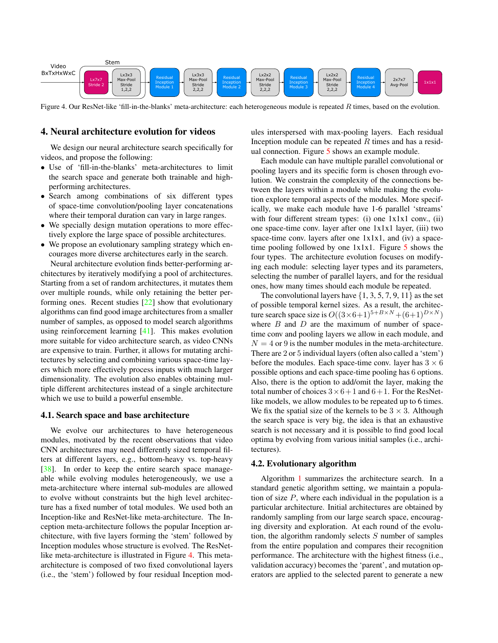<span id="page-3-2"></span>

<span id="page-3-0"></span>Figure 4. Our ResNet-like 'fill-in-the-blanks' meta-architecture: each heterogeneous module is repeated  $R$  times, based on the evolution.

### 4. Neural architecture evolution for videos

We design our neural architecture search specifically for videos, and propose the following:

- Use of 'fill-in-the-blanks' meta-architectures to limit the search space and generate both trainable and highperforming architectures.
- Search among combinations of six different types of space-time convolution/pooling layer concatenations where their temporal duration can vary in large ranges.
- We specially design mutation operations to more effectively explore the large space of possible architectures.
- We propose an evolutionary sampling strategy which encourages more diverse architectures early in the search.

Neural architecture evolution finds better-performing architectures by iteratively modifying a pool of architectures. Starting from a set of random architectures, it mutates them over multiple rounds, while only retaining the better performing ones. Recent studies [\[22\]](#page-8-22) show that evolutionary algorithms can find good image architectures from a smaller number of samples, as opposed to model search algorithms using reinforcement learning [\[41\]](#page-9-3). This makes evolution more suitable for video architecture search, as video CNNs are expensive to train. Further, it allows for mutating architectures by selecting and combining various space-time layers which more effectively process inputs with much larger dimensionality. The evolution also enables obtaining multiple different architectures instead of a single architecture which we use to build a powerful ensemble.

#### <span id="page-3-1"></span>4.1. Search space and base architecture

We evolve our architectures to have heterogeneous modules, motivated by the recent observations that video CNN architectures may need differently sized temporal filters at different layers, e.g., bottom-heavy vs. top-heavy [\[38\]](#page-9-2). In order to keep the entire search space manageable while evolving modules heterogeneously, we use a meta-architecture where internal sub-modules are allowed to evolve without constraints but the high level architecture has a fixed number of total modules. We used both an Inception-like and ResNet-like meta-architecture. The Inception meta-architecture follows the popular Inception architecture, with five layers forming the 'stem' followed by Inception modules whose structure is evolved. The ResNetlike meta-architecture is illustrated in Figure [4.](#page-3-0) This metaarchitecture is composed of two fixed convolutional layers (i.e., the 'stem') followed by four residual Inception modules interspersed with max-pooling layers. Each residual Inception module can be repeated  $R$  times and has a residual connection. Figure [5](#page-4-0) shows an example module.

Each module can have multiple parallel convolutional or pooling layers and its specific form is chosen through evolution. We constrain the complexity of the connections between the layers within a module while making the evolution explore temporal aspects of the modules. More specifically, we make each module have 1-6 parallel 'streams' with four different stream types: (i) one  $1x1x1$  conv., (ii) one space-time conv. layer after one 1x1x1 layer, (iii) two space-time conv. layers after one  $1x1x1$ , and (iv) a spacetime pooling followed by one  $1x1x1$ . Figure [5](#page-4-0) shows the four types. The architecture evolution focuses on modifying each module: selecting layer types and its parameters, selecting the number of parallel layers, and for the residual ones, how many times should each module be repeated.

The convolutional layers have  $\{1, 3, 5, 7, 9, 11\}$  as the set of possible temporal kernel sizes. As a result, the architecture search space size is  $O((3 \times 6+1)^{5+B \times N}+(6+1)^{D \times N})$ where  $B$  and  $D$  are the maximum of number of spacetime conv and pooling layers we allow in each module, and  $N = 4$  or 9 is the number modules in the meta-architecture. There are 2 or 5 individual layers (often also called a 'stem') before the modules. Each space-time conv. layer has  $3 \times 6$ possible options and each space-time pooling has 6 options. Also, there is the option to add/omit the layer, making the total number of choices  $3 \times 6 + 1$  and  $6 + 1$ . For the ResNetlike models, we allow modules to be repeated up to 6 times. We fix the spatial size of the kernels to be  $3 \times 3$ . Although the search space is very big, the idea is that an exhaustive search is not necessary and it is possible to find good local optima by evolving from various initial samples (i.e., architectures).

#### 4.2. Evolutionary algorithm

Algorithm [1](#page-4-1) summarizes the architecture search. In a standard genetic algorithm setting, we maintain a population of size  $P$ , where each individual in the population is a particular architecture. Initial architectures are obtained by randomly sampling from our large search space, encouraging diversity and exploration. At each round of the evolution, the algorithm randomly selects  $S$  number of samples from the entire population and compares their recognition performance. The architecture with the highest fitness (i.e., validation accuracy) becomes the 'parent', and mutation operators are applied to the selected parent to generate a new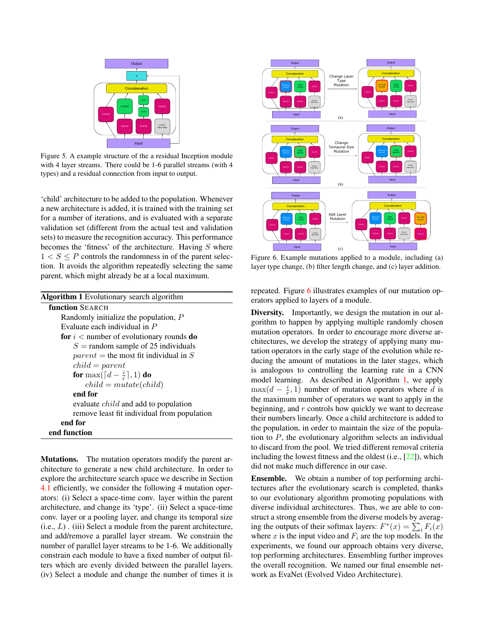<span id="page-4-3"></span>

<span id="page-4-0"></span>Figure 5. A example structure of the a residual Inception module with 4 layer streams. There could be 1-6 parallel streams (with 4 types) and a residual connection from input to output.

'child' architecture to be added to the population. Whenever a new architecture is added, it is trained with the training set for a number of iterations, and is evaluated with a separate validation set (different from the actual test and validation sets) to measure the recognition accuracy. This performance becomes the 'fitness' of the architecture. Having  $S$  where  $1 < S \le P$  controls the randomness in of the parent selection. It avoids the algorithm repeatedly selecting the same parent, which might already be at a local maximum.

<span id="page-4-1"></span>

| <b>Algorithm 1</b> Evolutionary search algorithm |
|--------------------------------------------------|
| <b>function SEARCH</b>                           |
| Randomly initialize the population, $P$          |
| Evaluate each individual in P                    |
| for $i <$ number of evolutionary rounds do       |
| $S =$ random sample of 25 individuals            |
| $parent =$ the most fit individual in S          |
| $child = parent$                                 |
| for max( $\lceil d - \frac{i}{r} \rceil, 1$ ) do |
| $child = mutate(child)$                          |
| end for                                          |
| evaluate <i>child</i> and add to population      |
| remove least fit individual from population      |
| end for                                          |
| end function                                     |

Mutations. The mutation operators modify the parent architecture to generate a new child architecture. In order to explore the architecture search space we describe in Section [4.1](#page-3-1) efficiently, we consider the following 4 mutation operators: (i) Select a space-time conv. layer within the parent architecture, and change its 'type'. (ii) Select a space-time conv. layer or a pooling layer, and change its temporal size  $(i.e., L)$ . (iii) Select a module from the parent architecture, and add/remove a parallel layer stream. We constrain the number of parallel layer streams to be 1-6. We additionally constrain each module to have a fixed number of output filters which are evenly divided between the parallel layers. (iv) Select a module and change the number of times it is



<span id="page-4-2"></span>Figure 6. Example mutations applied to a module, including (a) layer type change, (b) filter length change, and (c) layer addition.

repeated. Figure [6](#page-4-2) illustrates examples of our mutation operators applied to layers of a module.

Diversity. Importantly, we design the mutation in our algorithm to happen by applying multiple randomly chosen mutation operators. In order to encourage more diverse architectures, we develop the strategy of applying many mutation operators in the early stage of the evolution while reducing the amount of mutations in the later stages, which is analogous to controlling the learning rate in a CNN model learning. As described in Algorithm [1,](#page-4-1) we apply  $\max(d - \frac{i}{r}, 1)$  number of mutation operators where d is the maximum number of operators we want to apply in the beginning, and  $r$  controls how quickly we want to decrease their numbers linearly. Once a child architecture is added to the population, in order to maintain the size of the population to  $P$ , the evolutionary algorithm selects an individual to discard from the pool. We tried different removal criteria including the lowest fitness and the oldest (i.e., [\[22\]](#page-8-22)), which did not make much difference in our case.

Ensemble. We obtain a number of top performing architectures after the evolutionary search is completed, thanks to our evolutionary algorithm promoting populations with diverse individual architectures. Thus, we are able to construct a strong ensemble from the diverse models by averaging the outputs of their softmax layers:  $F^*(x) = \sum_i F_i(x)$ where x is the input video and  $F_i$  are the top models. In the experiments, we found our approach obtains very diverse, top performing architectures. Ensembling further improves the overall recognition. We named our final ensemble network as EvaNet (Evolved Video Architecture).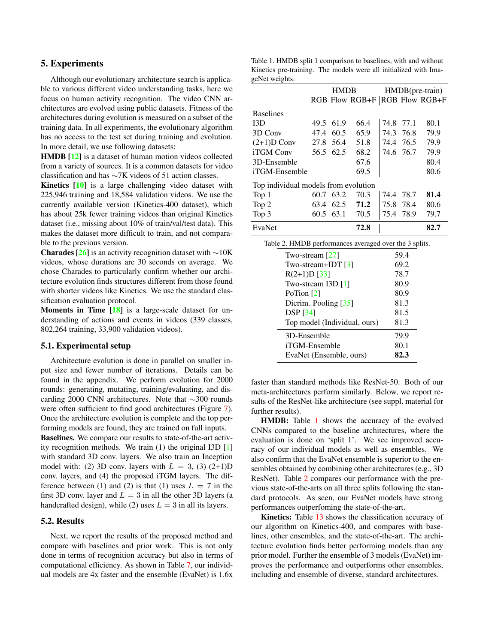## <span id="page-5-2"></span>5. Experiments

Although our evolutionary architecture search is applicable to various different video understanding tasks, here we focus on human activity recognition. The video CNN architectures are evolved using public datasets. Fitness of the architectures during evolution is measured on a subset of the training data. In all experiments, the evolutionary algorithm has no access to the test set during training and evolution. In more detail, we use following datasets:

HMDB [\[12\]](#page-8-23) is a dataset of human motion videos collected from a variety of sources. It is a common datasets for video classification and has ∼7K videos of 51 action classes.

Kinetics [\[10\]](#page-8-24) is a large challenging video dataset with 225,946 training and 18,584 validation videos. We use the currently available version (Kinetics-400 dataset), which has about 25k fewer training videos than original Kinetics dataset (i.e., missing about 10% of train/val/test data). This makes the dataset more difficult to train, and not comparable to the previous version.

**Charades [\[26\]](#page-8-25)** is an activity recognition dataset with  $\sim$ 10K videos, whose durations are 30 seconds on average. We chose Charades to particularly confirm whether our architecture evolution finds structures different from those found with shorter videos like Kinetics. We use the standard classification evaluation protocol.

Moments in Time [\[18\]](#page-8-26) is a large-scale dataset for understanding of actions and events in videos (339 classes, 802,264 training, 33,900 validation videos).

#### 5.1. Experimental setup

Architecture evolution is done in parallel on smaller input size and fewer number of iterations. Details can be found in the appendix. We perform evolution for 2000 rounds: generating, mutating, training/evaluating, and discarding 2000 CNN architectures. Note that ∼300 rounds were often sufficient to find good architectures (Figure [7\)](#page-7-0). Once the architecture evolution is complete and the top performing models are found, they are trained on full inputs. Baselines. We compare our results to state-of-the-art activity recognition methods. We train (1) the original I3D [\[1\]](#page-8-0) with standard 3D conv. layers. We also train an Inception model with: (2) 3D conv. layers with  $L = 3$ , (3) (2+1)D conv. layers, and (4) the proposed iTGM layers. The difference between (1) and (2) is that (1) uses  $L = 7$  in the first 3D conv. layer and  $L = 3$  in all the other 3D layers (a handcrafted design), while (2) uses  $L = 3$  in all its layers.

## 5.2. Results

Next, we report the results of the proposed method and compare with baselines and prior work. This is not only done in terms of recognition accuracy but also in terms of computational efficiency. As shown in Table [7,](#page-6-0) our individual models are 4x faster and the ensemble (EvaNet) is 1.6x

<span id="page-5-0"></span>Table 1. HMDB split 1 comparison to baselines, with and without Kinetics pre-training. The models were all initialized with ImageNet weights.

|                                                        |                         | <b>HMDB</b> |                               |      |           | HMDB(pre-train) |
|--------------------------------------------------------|-------------------------|-------------|-------------------------------|------|-----------|-----------------|
|                                                        |                         |             | RGB Flow RGB+F RGB Flow RGB+F |      |           |                 |
| <b>Baselines</b>                                       |                         |             |                               |      |           |                 |
| 13D                                                    | 49.5                    | 61.9        | 66.4                          | 74.8 | 77.1      | 80.1            |
| 3D Conv                                                |                         | 47.4 60.5   | 65.9                          | 74.3 | 76.8      | 79.9            |
| $(2+1)D$ Conv                                          |                         | 27.8 56.4   | 51.8                          |      | 74.4 76.5 | 79.9            |
| iTGM Conv                                              | 56.5                    | 62.5        | 68.2                          | 74.6 | 76.7      | 79.9            |
| 3D-Ensemble                                            |                         |             | 67.6                          |      |           | 80.4            |
| iTGM-Ensemble                                          |                         |             | 69.5                          |      |           | 80.6            |
| Top individual models from evolution                   |                         |             |                               |      |           |                 |
| Top 1                                                  | 60.7                    | 63.2        | 70.3                          |      | 74.4 78.7 | 81.4            |
| Top 2                                                  | 63.4                    | 62.5        | 71.2                          | 75.8 | 78.4      | 80.6            |
| Top 3                                                  | 60.5                    | 63.1        | 70.5                          | 75.4 | 78.9      | 79.7            |
| EvaNet                                                 |                         |             | 72.8                          |      |           | 82.7            |
| Table 2. HMDB performances averaged over the 3 splits. |                         |             |                               |      |           |                 |
| Two-stream $[27]$<br>59.4                              |                         |             |                               |      |           |                 |
| Two-stream+IDT $[3]$<br>69.2                           |                         |             |                               |      |           |                 |
|                                                        | $R(2+1)D$ [33]          |             |                               |      | 78.7      |                 |
|                                                        | Two-stream I3D [1]      |             |                               |      | 80.9      |                 |
| PoTion $[2]$                                           |                         |             |                               |      | 80.9      |                 |
| 81.3<br>Dicrim. Pooling [35]                           |                         |             |                               |      |           |                 |
|                                                        | <b>DSP</b> [34]         |             |                               |      | 81.5      |                 |
|                                                        |                         |             | Top model (Individual, ours)  |      | 81.3      |                 |
|                                                        | 3D-Ensemble             |             |                               |      | 79.9      |                 |
|                                                        | iTGM-Ensemble           |             |                               |      | 80.1      |                 |
|                                                        | EvaNet (Ensemble, ours) |             |                               |      | 82.3      |                 |
|                                                        |                         |             |                               |      |           |                 |

<span id="page-5-1"></span>faster than standard methods like ResNet-50. Both of our meta-architectures perform similarly. Below, we report results of the ResNet-like architecture (see suppl. material for further results).

HMDB: Table [1](#page-5-0) shows the accuracy of the evolved CNNs compared to the baseline architectures, where the evaluation is done on 'split 1'. We see improved accuracy of our individual models as well as ensembles. We also confirm that the EvaNet ensemble is superior to the ensembles obtained by combining other architectures (e.g., 3D ResNet). Table [2](#page-5-1) compares our performance with the previous state-of-the-arts on all three splits following the standard protocols. As seen, our EvaNet models have strong performances outperfoming the state-of-the-art.

Kinetics: Table [13](#page-11-0) shows the classification accuracy of our algorithm on Kinetics-400, and compares with baselines, other ensembles, and the state-of-the-art. The architecture evolution finds better performing models than any prior model. Further the ensemble of 3 models (EvaNet) improves the performance and outperforms other ensembles, including and ensemble of diverse, standard architectures.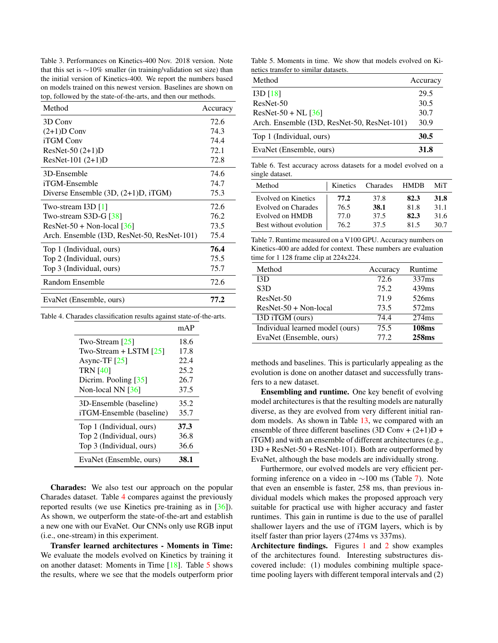<span id="page-6-3"></span>Table 3. Performances on Kinetics-400 Nov. 2018 version. Note that this set is ∼10% smaller (in training/validation set size) than the initial version of Kinetics-400. We report the numbers based on models trained on this newest version. Baselines are shown on top, followed by the state-of-the-arts, and then our methods.

| Method                                      | Accuracy |
|---------------------------------------------|----------|
| 3D Conv                                     | 72.6     |
| $(2+1)D$ Conv                               | 74.3     |
| <b>iTGM</b> Conv                            | 74.4     |
| ResNet-50 (2+1)D                            | 72.1     |
| ResNet-101 $(2+1)D$                         | 72.8     |
| 3D-Ensemble                                 | 74.6     |
| iTGM-Ensemble                               | 74.7     |
| Diverse Ensemble $(3D, (2+1)D, iTGM)$       | 75.3     |
| Two-stream I3D [1]                          | 72.6     |
| Two-stream S3D-G [38]                       | 76.2     |
| $ResNet-50 + Non-local [36]$                | 73.5     |
| Arch. Ensemble (I3D, ResNet-50, ResNet-101) | 75.4     |
| Top 1 (Individual, ours)                    | 76.4     |
| Top 2 (Individual, ours)                    | 75.5     |
| Top 3 (Individual, ours)                    | 75.7     |
| Random Ensemble                             | 72.6     |
| EvaNet (Ensemble, ours)                     | 77.2     |

Table 4. Charades classification results against state-of-the-arts.

<span id="page-6-1"></span>

|                          | mAP  |
|--------------------------|------|
| Two-Stream [25]          | 18.6 |
| Two-Stream $+$ LSTM [25] | 17.8 |
| Async-TF $[25]$          | 22.4 |
| <b>TRN [40]</b>          | 25.2 |
| Dicrim. Pooling $[35]$   | 26.7 |
| Non-local NN $[36]$      | 37.5 |
| 3D-Ensemble (baseline)   | 35.2 |
| iTGM-Ensemble (baseline) | 35.7 |
| Top 1 (Individual, ours) | 37.3 |
| Top 2 (Individual, ours) | 36.8 |
| Top 3 (Individual, ours) | 36.6 |
| EvaNet (Ensemble, ours)  | 38.1 |

Charades: We also test our approach on the popular Charades dataset. Table [4](#page-6-1) compares against the previously reported results (we use Kinetics pre-training as in [\[36\]](#page-9-11)). As shown, we outperform the state-of-the-art and establish a new one with our EvaNet. Our CNNs only use RGB input (i.e., one-stream) in this experiment.

Transfer learned architectures - Moments in Time: We evaluate the models evolved on Kinetics by training it on another dataset: Moments in Time [\[18\]](#page-8-26). Table [5](#page-6-2) shows the results, where we see that the models outperform prior

<span id="page-6-2"></span>Table 5. Moments in time. We show that models evolved on Kinetics transfer to similar datasets.

| Method                                      | Accuracy |
|---------------------------------------------|----------|
| I3D[18]                                     | 29.5     |
| ResNet-50                                   | 30.5     |
| $ResNet-50 + NL [36]$                       | 30.7     |
| Arch. Ensemble (I3D, ResNet-50, ResNet-101) | 30.9     |
| Top 1 (Individual, ours)                    | 30.5     |
| EvaNet (Ensemble, ours)                     | 31.8     |

Table 6. Test accuracy across datasets for a model evolved on a single dataset.

| Method                     | Kinetics | Charades | <b>HMDB</b> | MiT  |
|----------------------------|----------|----------|-------------|------|
| <b>Evolved on Kinetics</b> | 77.2     | 37.8     | 82.3        | 31.8 |
| <b>Evolved on Charades</b> | 76.5     | 38.1     | 81.8        | 31.1 |
| Evolved on HMDB            | 77.0     | 37.5     | 82.3        | 31.6 |
| Best without evolution     | 76.2     | 37.5     | 815         | 30.7 |

<span id="page-6-0"></span>Table 7. Runtime measured on a V100 GPU. Accuracy numbers on Kinetics-400 are added for context. These numbers are evaluation time for 1 128 frame clip at 224x224.

| Method                          | Accuracy | Runtime           |
|---------------------------------|----------|-------------------|
| 13D                             | 72.6     | 337 <sub>ms</sub> |
| S3D                             | 75.2     | 439ms             |
| ResNet-50                       | 71.9     | 526ms             |
| $ResNet-50 + Non-local$         | 73.5     | 572ms             |
| I3D iTGM (ours)                 | 74.4     | $274$ ms          |
| Individual learned model (ours) | 75.5     | <b>108ms</b>      |
| EvaNet (Ensemble, ours)         | 77.2     | 258ms             |

methods and baselines. This is particularly appealing as the evolution is done on another dataset and successfully transfers to a new dataset.

Ensembling and runtime. One key benefit of evolving model architectures is that the resulting models are naturally diverse, as they are evolved from very different initial random models. As shown in Table [13,](#page-11-0) we compared with an ensemble of three different baselines (3D Conv +  $(2+1)D +$ iTGM) and with an ensemble of different architectures (e.g., I3D + ResNet-50 + ResNet-101). Both are outperformed by EvaNet, although the base models are individually strong.

Furthermore, our evolved models are very efficient performing inference on a video in ∼100 ms (Table [7\)](#page-6-0). Note that even an ensemble is faster, 258 ms, than previous individual models which makes the proposed approach very suitable for practical use with higher accuracy and faster runtimes. This gain in runtime is due to the use of parallel shallower layers and the use of iTGM layers, which is by itself faster than prior layers (274ms vs 337ms).

Architecture findings. Figures [1](#page-1-0) and [2](#page-1-1) show examples of the architectures found. Interesting substructures discovered include: (1) modules combining multiple spacetime pooling layers with different temporal intervals and (2)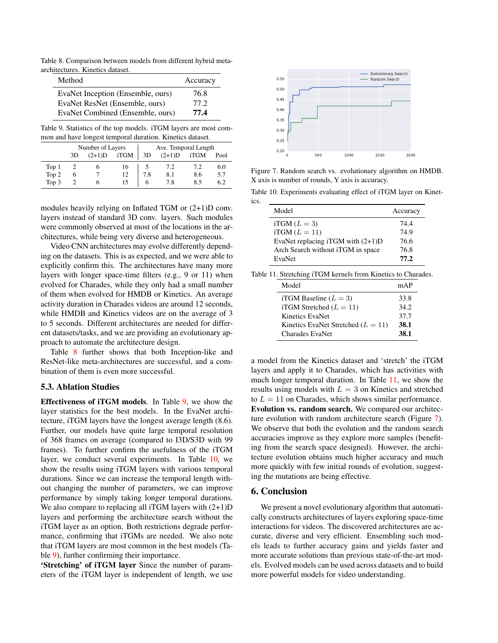Table 8. Comparison between models from different hybrid metaarchitectures. Kinetics dataset.

<span id="page-7-1"></span>

| Method                            | Accuracy |
|-----------------------------------|----------|
| EvaNet Inception (Ensemble, ours) | 76.8     |
| EvaNet ResNet (Ensemble, ours)    | 77 2.    |
| EvaNet Combined (Ensemble, ours)  | 77.4     |

<span id="page-7-2"></span>Table 9. Statistics of the top models. iTGM layers are most common and have longest temporal duration. Kinetics dataset.

| Number of Layers |    |          |      | Ave. Temporal Length |          |      |      |
|------------------|----|----------|------|----------------------|----------|------|------|
|                  | 3D | $(2+1)D$ | iTGM | 3D                   | $(2+1)D$ | iTGM | Pool |
| Top 1            |    |          | 16   |                      | 7.2      | 7.2  | 6.0  |
| Top 2            | O  |          | 12   | 7.8                  | 8.1      | 8.6  | 5.7  |
| Top 3            |    |          | 15   | 6                    | 7.8      | 8.5  | 6.2  |

modules heavily relying on Inflated TGM or (2+1)D conv. layers instead of standard 3D conv. layers. Such modules were commonly observed at most of the locations in the architectures, while being very diverse and heterogeneous.

Video CNN architectures may evolve differently depending on the datasets. This is as expected, and we were able to explicitly confirm this. The architectures have many more layers with longer space-time filters (e.g., 9 or 11) when evolved for Charades, while they only had a small number of them when evolved for HMDB or Kinetics. An average activity duration in Charades videos are around 12 seconds, while HMDB and Kinetics videos are on the average of 3 to 5 seconds. Different architectures are needed for different datasets/tasks, and we are providing an evolutionary approach to automate the architecture design.

Table [8](#page-7-1) further shows that both Inception-like and ResNet-like meta-architectures are successful, and a combination of them is even more successful.

## 5.3. Ablation Studies

Effectiveness of iTGM models. In Table [9,](#page-7-2) we show the layer statistics for the best models. In the EvaNet architecture, iTGM layers have the longest average length (8.6). Further, our models have quite large temporal resolution of 368 frames on average (compared to I3D/S3D with 99 frames). To further confirm the usefulness of the iTGM layer, we conduct several experiments. In Table [10,](#page-7-3) we show the results using iTGM layers with various temporal durations. Since we can increase the temporal length without changing the number of parameters, we can improve performance by simply taking longer temporal durations. We also compare to replacing all iTGM layers with  $(2+1)D$ layers and performing the architecture search without the iTGM layer as an option. Both restrictions degrade performance, confirming that iTGMs are needed. We also note that iTGM layers are most common in the best models (Table [9\)](#page-7-2), further confirming their importance.

'Stretching' of iTGM layer Since the number of parameters of the iTGM layer is independent of length, we use



<span id="page-7-0"></span>Figure 7. Random search vs. evolutionary algorithm on HMDB. X axis is number of rounds, Y axis is accuracy.

Table 10. Experiments evaluating effect of iTGM layer on Kinet-

<span id="page-7-3"></span>

| Model                               | Accuracy |
|-------------------------------------|----------|
| iTGM $(L = 3)$                      | 74.4     |
| $iTGM (L = 11)$                     | 74.9     |
| EvaNet replacing iTGM with $(2+1)D$ | 76.6     |
| Arch Search without iTGM in space   | 76.8     |
| EvaNet                              | 77.2     |

|  |  |  |  |  |  | Table 11. Stretching iTGM kernels from Kinetics to Charades. |
|--|--|--|--|--|--|--------------------------------------------------------------|
|--|--|--|--|--|--|--------------------------------------------------------------|

<span id="page-7-4"></span>

| Model                                | mAP   |
|--------------------------------------|-------|
| iTGM Baseline $(L = 3)$              | 33.8  |
| iTGM Stretched $(L = 11)$            | 34.2. |
| Kinetics EvaNet                      | 37.7  |
| Kinetics EvaNet Stretched $(L = 11)$ | 38.1  |
| Charades EvaNet                      | 38.1  |

a model from the Kinetics dataset and 'stretch' the iTGM layers and apply it to Charades, which has activities with much longer temporal duration. In Table [11,](#page-7-4) we show the results using models with  $L = 3$  on Kinetics and stretched to  $L = 11$  on Charades, which shows similar performance. Evolution vs. random search. We compared our architecture evolution with random architecture search (Figure [7\)](#page-7-0). We observe that both the evolution and the random search accuracies improve as they explore more samples (benefiting from the search space designed). However, the architecture evolution obtains much higher accuracy and much more quickly with few initial rounds of evolution, suggesting the mutations are being effective.

### 6. Conclusion

ics.

We present a novel evolutionary algorithm that automatically constructs architectures of layers exploring space-time interactions for videos. The discovered architectures are accurate, diverse and very efficient. Ensembling such models leads to further accuracy gains and yields faster and more accurate solutions than previous state-of-the-art models. Evolved models can be used across datasets and to build more powerful models for video understanding.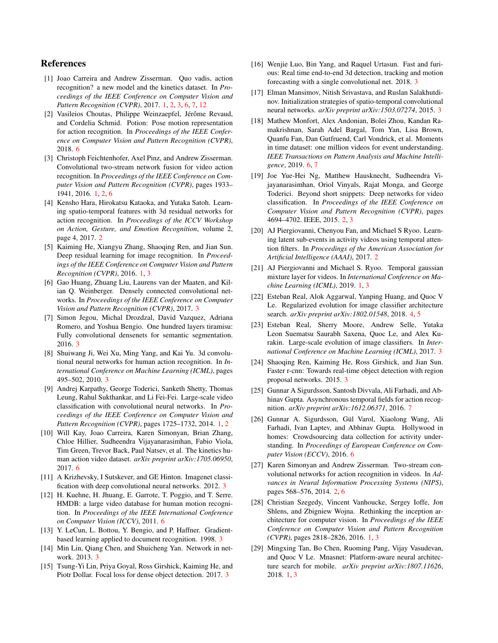## References

- <span id="page-8-0"></span>[1] Joao Carreira and Andrew Zisserman. Quo vadis, action recognition? a new model and the kinetics dataset. In *Proceedings of the IEEE Conference on Computer Vision and Pattern Recognition (CVPR)*, 2017. [1,](#page-0-1) [2,](#page-1-2) [3,](#page-2-1) [6,](#page-5-2) [7,](#page-6-3) [12](#page-11-1)
- <span id="page-8-27"></span>[2] Vasileios Choutas, Philippe Weinzaepfel, Jérôme Revaud, and Cordelia Schmid. Potion: Pose motion representation for action recognition. In *Proceedings of the IEEE Conference on Computer Vision and Pattern Recognition (CVPR)*, 2018. [6](#page-5-2)
- <span id="page-8-1"></span>[3] Christoph Feichtenhofer, Axel Pinz, and Andrew Zisserman. Convolutional two-stream network fusion for video action recognition. In *Proceedings of the IEEE Conference on Computer Vision and Pattern Recognition (CVPR)*, pages 1933– 1941, 2016. [1,](#page-0-1) [2,](#page-1-2) [6](#page-5-2)
- <span id="page-8-7"></span>[4] Kensho Hara, Hirokatsu Kataoka, and Yutaka Satoh. Learning spatio-temporal features with 3d residual networks for action recognition. In *Proceedings of the ICCV Workshop on Action, Gesture, and Emotion Recognition*, volume 2, page 4, 2017. [2](#page-1-2)
- <span id="page-8-4"></span>[5] Kaiming He, Xiangyu Zhang, Shaoqing Ren, and Jian Sun. Deep residual learning for image recognition. In *Proceedings of the IEEE Conference on Computer Vision and Pattern Recognition (CVPR)*, 2016. [1,](#page-0-1) [3](#page-2-1)
- <span id="page-8-14"></span>[6] Gao Huang, Zhuang Liu, Laurens van der Maaten, and Kilian Q. Weinberger. Densely connected convolutional networks. In *Proceedings of the IEEE Conference on Computer Vision and Pattern Recognition (CVPR)*, 2017. [3](#page-2-1)
- <span id="page-8-15"></span>[7] Simon Jegou, Michal Drozdzal, David Vazquez, Adriana Romero, and Yoshua Bengio. One hundred layers tiramisu: Fully convolutional densenets for semantic segmentation. 2016. [3](#page-2-1)
- <span id="page-8-20"></span>[8] Shuiwang Ji, Wei Xu, Ming Yang, and Kai Yu. 3d convolutional neural networks for human action recognition. In *International Conference on Machine Learning (ICML)*, pages 495–502, 2010. [3](#page-2-1)
- <span id="page-8-2"></span>[9] Andrej Karpathy, George Toderici, Sanketh Shetty, Thomas Leung, Rahul Sukthankar, and Li Fei-Fei. Large-scale video classification with convolutional neural networks. In *Proceedings of the IEEE Conference on Computer Vision and Pattern Recognition (CVPR)*, pages 1725–1732, 2014. [1,](#page-0-1) [2](#page-1-2)
- <span id="page-8-24"></span>[10] Will Kay, Joao Carreira, Karen Simonyan, Brian Zhang, Chloe Hillier, Sudheendra Vijayanarasimhan, Fabio Viola, Tim Green, Trevor Back, Paul Natsev, et al. The kinetics human action video dataset. *arXiv preprint arXiv:1705.06950*, 2017. [6](#page-5-2)
- <span id="page-8-12"></span>[11] A Krizhevsky, I Sutskever, and GE Hinton. Imagenet classification with deep convolutional neural networks. 2012. [3](#page-2-1)
- <span id="page-8-23"></span>[12] H. Kuehne, H. Jhuang, E. Garrote, T. Poggio, and T. Serre. HMDB: a large video database for human motion recognition. In *Proceedings of the IEEE International Conference on Computer Vision (ICCV)*, 2011. [6](#page-5-2)
- <span id="page-8-11"></span>[13] Y. LeCun, L. Bottou, Y. Bengio, and P. Haffner. Gradientbased learning applied to document recognition. 1998. [3](#page-2-1)
- <span id="page-8-13"></span>[14] Min Lin, Qiang Chen, and Shuicheng Yan. Network in network. 2013. [3](#page-2-1)
- <span id="page-8-16"></span>[15] Tsung-Yi Lin, Priya Goyal, Ross Girshick, Kaiming He, and Piotr Dollar. Focal loss for dense object detection. 2017. [3](#page-2-1)
- <span id="page-8-17"></span>[16] Wenjie Luo, Bin Yang, and Raquel Urtasun. Fast and furious: Real time end-to-end 3d detection, tracking and motion forecasting with a single convolutional net. 2018. [3](#page-2-1)
- <span id="page-8-21"></span>[17] Elman Mansimov, Nitish Srivastava, and Ruslan Salakhutdinov. Initialization strategies of spatio-temporal convolutional neural networks. *arXiv preprint arXiv:1503.07274*, 2015. [3](#page-2-1)
- <span id="page-8-26"></span>[18] Mathew Monfort, Alex Andonian, Bolei Zhou, Kandan Ramakrishnan, Sarah Adel Bargal, Tom Yan, Lisa Brown, Quanfu Fan, Dan Gutfruend, Carl Vondrick, et al. Moments in time dataset: one million videos for event understanding. *IEEE Transactions on Pattern Analysis and Machine Intelligence*, 2019. [6,](#page-5-2) [7](#page-6-3)
- <span id="page-8-9"></span>[19] Joe Yue-Hei Ng, Matthew Hausknecht, Sudheendra Vijayanarasimhan, Oriol Vinyals, Rajat Monga, and George Toderici. Beyond short snippets: Deep networks for video classification. In *Proceedings of the IEEE Conference on Computer Vision and Pattern Recognition (CVPR)*, pages 4694–4702. IEEE, 2015. [2,](#page-1-2) [3](#page-2-1)
- <span id="page-8-10"></span>[20] AJ Piergiovanni, Chenyou Fan, and Michael S Ryoo. Learning latent sub-events in activity videos using temporal attention filters. In *Proceedings of the American Association for Artificial Intelligence (AAAI)*, 2017. [2](#page-1-2)
- <span id="page-8-6"></span>[21] AJ Piergiovanni and Michael S. Ryoo. Temporal gaussian mixture layer for videos. In *International Conference on Machine Learning (ICML)*, 2019. [1,](#page-0-1) [3](#page-2-1)
- <span id="page-8-22"></span>[22] Esteban Real, Alok Aggarwal, Yanping Huang, and Quoc V Le. Regularized evolution for image classifier architecture search. *arXiv preprint arXiv:1802.01548*, 2018. [4,](#page-3-2) [5](#page-4-3)
- <span id="page-8-19"></span>[23] Esteban Real, Sherry Moore, Andrew Selle, Yutaka Leon Suematsu Saurabh Saxena, Quoc Le, and Alex Kurakin. Large-scale evolution of image classifiers. In *International Conference on Machine Learning (ICML)*, 2017. [3](#page-2-1)
- <span id="page-8-18"></span>[24] Shaoqing Ren, Kaiming He, Ross Girshick, and Jian Sun. Faster r-cnn: Towards real-time object detection with region proposal networks. 2015. [3](#page-2-1)
- <span id="page-8-28"></span>[25] Gunnar A Sigurdsson, Santosh Divvala, Ali Farhadi, and Abhinav Gupta. Asynchronous temporal fields for action recognition. *arXiv preprint arXiv:1612.06371*, 2016. [7](#page-6-3)
- <span id="page-8-25"></span>[26] Gunnar A. Sigurdsson, Gül Varol, Xiaolong Wang, Ali Farhadi, Ivan Laptev, and Abhinav Gupta. Hollywood in homes: Crowdsourcing data collection for activity understanding. In *Proceedings of European Conference on Computer Vision (ECCV)*, 2016. [6](#page-5-2)
- <span id="page-8-8"></span>[27] Karen Simonyan and Andrew Zisserman. Two-stream convolutional networks for action recognition in videos. In *Advances in Neural Information Processing Systems (NIPS)*, pages 568–576, 2014. [2,](#page-1-2) [6](#page-5-2)
- <span id="page-8-3"></span>[28] Christian Szegedy, Vincent Vanhoucke, Sergey Ioffe, Jon Shlens, and Zbigniew Wojna. Rethinking the inception architecture for computer vision. In *Proceedings of the IEEE Conference on Computer Vision and Pattern Recognition (CVPR)*, pages 2818–2826, 2016. [1,](#page-0-1) [3](#page-2-1)
- <span id="page-8-5"></span>[29] Mingxing Tan, Bo Chen, Ruoming Pang, Vijay Vasudevan, and Quoc V Le. Mnasnet: Platform-aware neural architecture search for mobile. *arXiv preprint arXiv:1807.11626*, 2018. [1,](#page-0-1) [3](#page-2-1)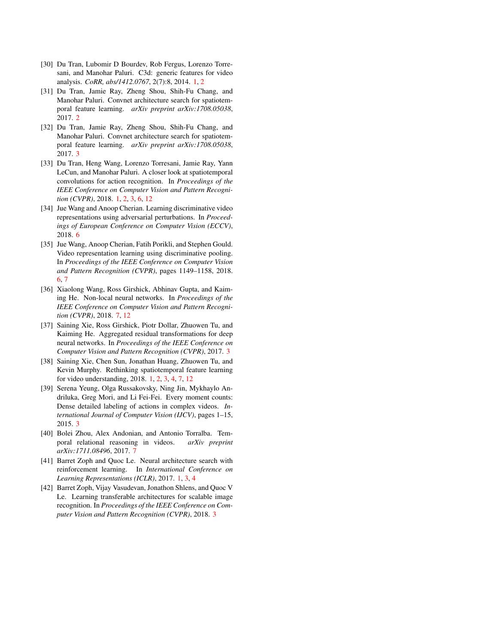- <span id="page-9-0"></span>[30] Du Tran, Lubomir D Bourdev, Rob Fergus, Lorenzo Torresani, and Manohar Paluri. C3d: generic features for video analysis. *CoRR, abs/1412.0767*, 2(7):8, 2014. [1,](#page-0-1) [2](#page-1-2)
- <span id="page-9-4"></span>[31] Du Tran, Jamie Ray, Zheng Shou, Shih-Fu Chang, and Manohar Paluri. Convnet architecture search for spatiotemporal feature learning. *arXiv preprint arXiv:1708.05038*, 2017. [2](#page-1-2)
- <span id="page-9-8"></span>[32] Du Tran, Jamie Ray, Zheng Shou, Shih-Fu Chang, and Manohar Paluri. Convnet architecture search for spatiotemporal feature learning. *arXiv preprint arXiv:1708.05038*, 2017. [3](#page-2-1)
- <span id="page-9-1"></span>[33] Du Tran, Heng Wang, Lorenzo Torresani, Jamie Ray, Yann LeCun, and Manohar Paluri. A closer look at spatiotemporal convolutions for action recognition. In *Proceedings of the IEEE Conference on Computer Vision and Pattern Recognition (CVPR)*, 2018. [1,](#page-0-1) [2,](#page-1-2) [3,](#page-2-1) [6,](#page-5-2) [12](#page-11-1)
- <span id="page-9-10"></span>[34] Jue Wang and Anoop Cherian. Learning discriminative video representations using adversarial perturbations. In *Proceedings of European Conference on Computer Vision (ECCV)*, 2018. [6](#page-5-2)
- <span id="page-9-9"></span>[35] Jue Wang, Anoop Cherian, Fatih Porikli, and Stephen Gould. Video representation learning using discriminative pooling. In *Proceedings of the IEEE Conference on Computer Vision and Pattern Recognition (CVPR)*, pages 1149–1158, 2018. [6,](#page-5-2) [7](#page-6-3)
- <span id="page-9-11"></span>[36] Xiaolong Wang, Ross Girshick, Abhinav Gupta, and Kaiming He. Non-local neural networks. In *Proceedings of the IEEE Conference on Computer Vision and Pattern Recognition (CVPR)*, 2018. [7,](#page-6-3) [12](#page-11-1)
- <span id="page-9-6"></span>[37] Saining Xie, Ross Girshick, Piotr Dollar, Zhuowen Tu, and Kaiming He. Aggregated residual transformations for deep neural networks. In *Proceedings of the IEEE Conference on Computer Vision and Pattern Recognition (CVPR)*, 2017. [3](#page-2-1)
- <span id="page-9-2"></span>[38] Saining Xie, Chen Sun, Jonathan Huang, Zhuowen Tu, and Kevin Murphy. Rethinking spatiotemporal feature learning for video understanding, 2018. [1,](#page-0-1) [2,](#page-1-2) [3,](#page-2-1) [4,](#page-3-2) [7,](#page-6-3) [12](#page-11-1)
- <span id="page-9-5"></span>[39] Serena Yeung, Olga Russakovsky, Ning Jin, Mykhaylo Andriluka, Greg Mori, and Li Fei-Fei. Every moment counts: Dense detailed labeling of actions in complex videos. *International Journal of Computer Vision (IJCV)*, pages 1–15, 2015. [3](#page-2-1)
- <span id="page-9-12"></span>[40] Bolei Zhou, Alex Andonian, and Antonio Torralba. Temporal relational reasoning in videos. *arXiv preprint arXiv:1711.08496*, 2017. [7](#page-6-3)
- <span id="page-9-3"></span>[41] Barret Zoph and Quoc Le. Neural architecture search with reinforcement learning. In *International Conference on Learning Representations (ICLR)*, 2017. [1,](#page-0-1) [3,](#page-2-1) [4](#page-3-2)
- <span id="page-9-7"></span>[42] Barret Zoph, Vijay Vasudevan, Jonathon Shlens, and Quoc V Le. Learning transferable architectures for scalable image recognition. In *Proceedings of the IEEE Conference on Computer Vision and Pattern Recognition (CVPR)*, 2018. [3](#page-2-1)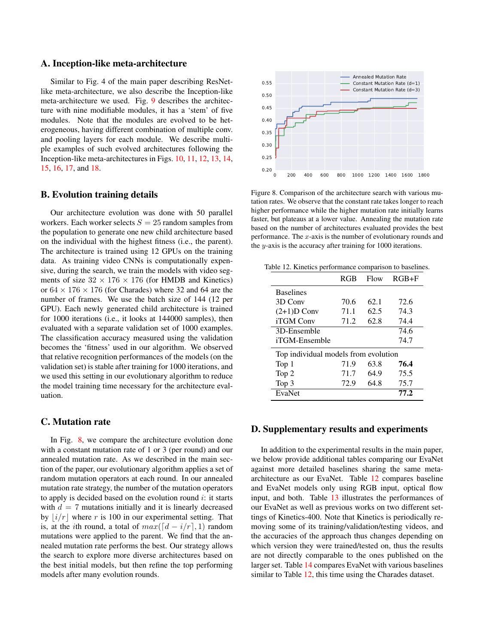### A. Inception-like meta-architecture

Similar to Fig. 4 of the main paper describing ResNetlike meta-architecture, we also describe the Inception-like meta-architecture we used. Fig. [9](#page-11-2) describes the architecture with nine modifiable modules, it has a 'stem' of five modules. Note that the modules are evolved to be heterogeneous, having different combination of multiple conv. and pooling layers for each module. We describe multiple examples of such evolved architectures following the Inception-like meta-architectures in Figs. [10,](#page-13-0) [11,](#page-13-1) [12,](#page-14-0) [13,](#page-14-1) [14,](#page-15-0) [15,](#page-15-1) [16,](#page-16-0) [17,](#page-16-1) and [18.](#page-17-0)

## B. Evolution training details

Our architecture evolution was done with 50 parallel workers. Each worker selects  $S = 25$  random samples from the population to generate one new child architecture based on the individual with the highest fitness (i.e., the parent). The architecture is trained using 12 GPUs on the training data. As training video CNNs is computationally expensive, during the search, we train the models with video segments of size  $32 \times 176 \times 176$  (for HMDB and Kinetics) or  $64 \times 176 \times 176$  (for Charades) where 32 and 64 are the number of frames. We use the batch size of 144 (12 per GPU). Each newly generated child architecture is trained for 1000 iterations (i.e., it looks at 144000 samples), then evaluated with a separate validation set of 1000 examples. The classification accuracy measured using the validation becomes the 'fitness' used in our algorithm. We observed that relative recognition performances of the models (on the validation set) is stable after training for 1000 iterations, and we used this setting in our evolutionary algorithm to reduce the model training time necessary for the architecture evaluation.

## C. Mutation rate

In Fig. [8,](#page-10-0) we compare the architecture evolution done with a constant mutation rate of 1 or 3 (per round) and our annealed mutation rate. As we described in the main section of the paper, our evolutionary algorithm applies a set of random mutation operators at each round. In our annealed mutation rate strategy, the number of the mutation operators to apply is decided based on the evolution round  $i$ : it starts with  $d = 7$  mutations initially and it is linearly decreased by  $|i/r|$  where r is 100 in our experimental setting. That is, at the *i*th round, a total of  $max([d - i/r], 1)$  random mutations were applied to the parent. We find that the annealed mutation rate performs the best. Our strategy allows the search to explore more diverse architectures based on the best initial models, but then refine the top performing models after many evolution rounds.



<span id="page-10-0"></span>Figure 8. Comparison of the architecture search with various mutation rates. We observe that the constant rate takes longer to reach higher performance while the higher mutation rate initially learns faster, but plateaus at a lower value. Annealing the mutation rate based on the number of architectures evaluated provides the best performance. The  $x$ -axis is the number of evolutionary rounds and the y-axis is the accuracy after training for 1000 iterations.

Table 12. Kinetics performance comparison to baselines.

<span id="page-10-1"></span>

|                                      | <b>RGB</b> | Flow | $RGB + F$ |  |
|--------------------------------------|------------|------|-----------|--|
| <b>Baselines</b>                     |            |      |           |  |
| 3D Conv                              | 70.6       | 62.1 | 72.6      |  |
| $(2+1)D$ Conv                        | 71.1       | 62.5 | 74.3      |  |
| <b>iTGM</b> Conv                     | 71.2       | 62.8 | 74.4      |  |
| 3D-Ensemble                          |            |      | 74.6      |  |
| iTGM-Ensemble                        |            |      | 74.7      |  |
| Top individual models from evolution |            |      |           |  |
| Top 1                                | 71.9       | 63.8 | 76.4      |  |
| Top 2                                | 71.7       | 64.9 | 75.5      |  |
| Top 3                                | 72.9       | 64.8 | 75.7      |  |
| EvaNet                               |            |      | 77.2      |  |

### D. Supplementary results and experiments

In addition to the experimental results in the main paper, we below provide additional tables comparing our EvaNet against more detailed baselines sharing the same metaarchitecture as our EvaNet. Table [12](#page-10-1) compares baseline and EvaNet models only using RGB input, optical flow input, and both. Table [13](#page-11-0) illustrates the performances of our EvaNet as well as previous works on two different settings of Kinetics-400. Note that Kinetics is periodically removing some of its training/validation/testing videos, and the accuracies of the approach thus changes depending on which version they were trained/tested on, thus the results are not directly comparable to the ones published on the larger set. Table [14](#page-11-3) compares EvaNet with various baselines similar to Table [12,](#page-10-1) this time using the Charades dataset.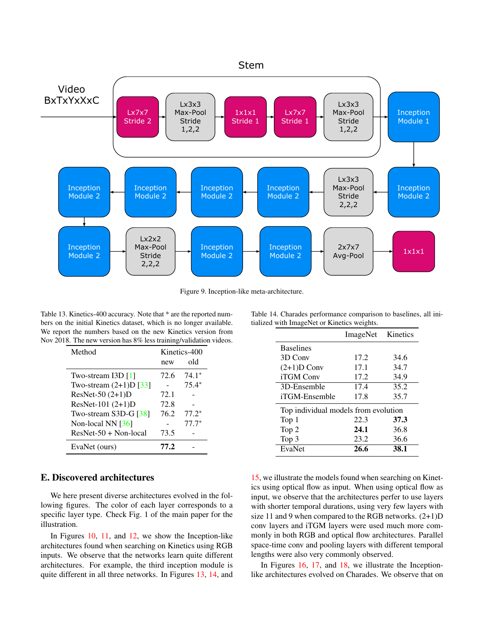<span id="page-11-1"></span>

<span id="page-11-2"></span>Figure 9. Inception-like meta-architecture.

<span id="page-11-0"></span>Table 13. Kinetics-400 accuracy. Note that \* are the reported numbers on the initial Kinetics dataset, which is no longer available. We report the numbers based on the new Kinetics version from Nov 2018. The new version has 8% less training/validation videos.

| Method                   | Kinetics-400 |         |  |
|--------------------------|--------------|---------|--|
|                          | new          | old     |  |
| Two-stream I3D $[1]$     | 72.6         | $74.1*$ |  |
| Two-stream $(2+1)D$ [33] |              | $75.4*$ |  |
| ResNet-50 $(2+1)D$       | 72.1         |         |  |
| ResNet-101 (2+1)D        | 72.8         |         |  |
| Two-stream S3D-G [38]    | 76.2         | $77.2*$ |  |
| Non-local NN $[36]$      |              | $77.7*$ |  |
| $ResNet-50 + Non-local$  | 73.5         |         |  |
| EvaNet (ours)            | 77.2         |         |  |

## E. Discovered architectures

We here present diverse architectures evolved in the following figures. The color of each layer corresponds to a specific layer type. Check Fig. 1 of the main paper for the illustration.

In Figures [10,](#page-13-0) [11,](#page-13-1) and [12,](#page-14-0) we show the Inception-like architectures found when searching on Kinetics using RGB inputs. We observe that the networks learn quite different architectures. For example, the third inception module is quite different in all three networks. In Figures [13,](#page-14-1) [14,](#page-15-0) and

|  | Table 14. Charades performance comparison to baselines, all ini- |  |  |
|--|------------------------------------------------------------------|--|--|
|  | tialized with ImageNet or Kinetics weights.                      |  |  |

<span id="page-11-3"></span>

|                                      | ImageNet | Kinetics |  |
|--------------------------------------|----------|----------|--|
| <b>Baselines</b>                     |          |          |  |
| 3D Conv                              | 17.2.    | 34.6     |  |
| $(2+1)D$ Conv                        | 17.1     | 34.7     |  |
| iTGM Conv                            | 17.2     | 34.9     |  |
| 3D-Ensemble                          | 17.4     | 35.2     |  |
| iTGM-Ensemble                        | 17.8     | 35.7     |  |
| Top individual models from evolution |          |          |  |
| Top 1                                | 22.3     | 37.3     |  |
| Top 2                                | 24.1     | 36.8     |  |
| Top 3                                | 23.2     | 36.6     |  |
| EvaNet                               | 26.6     | 38.1     |  |

[15,](#page-15-1) we illustrate the models found when searching on Kinetics using optical flow as input. When using optical flow as input, we observe that the architectures perfer to use layers with shorter temporal durations, using very few layers with size 11 and 9 when compared to the RGB networks.  $(2+1)D$ conv layers and iTGM layers were used much more commonly in both RGB and optical flow architectures. Parallel space-time conv and pooling layers with different temporal lengths were also very commonly observed.

In Figures [16,](#page-16-0) [17,](#page-16-1) and [18,](#page-17-0) we illustrate the Inceptionlike architectures evolved on Charades. We observe that on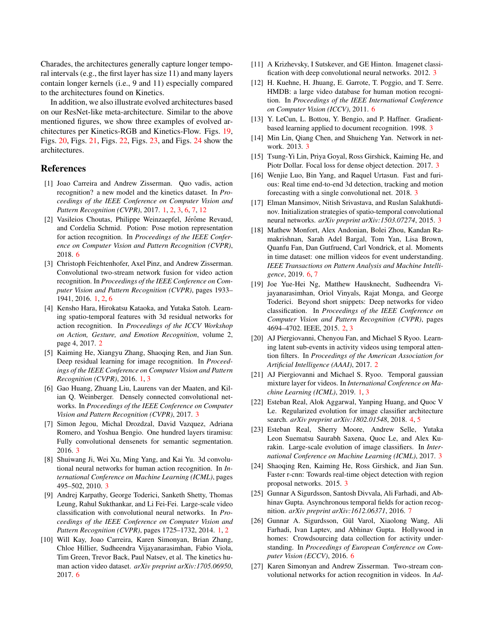Charades, the architectures generally capture longer temporal intervals (e.g., the first layer has size 11) and many layers contain longer kernels (i.e., 9 and 11) especially compared to the architectures found on Kinetics.

In addition, we also illustrate evolved architectures based on our ResNet-like meta-architecture. Similar to the above mentioned figures, we show three examples of evolved architectures per Kinetics-RGB and Kinetics-Flow. Figs. [19,](#page-17-1) Figs. [20,](#page-17-2) Figs. [21,](#page-17-3) Figs. [22,](#page-17-4) Figs. [23,](#page-17-5) and Figs. [24](#page-17-6) show the architectures.

## References

- [1] Joao Carreira and Andrew Zisserman. Quo vadis, action recognition? a new model and the kinetics dataset. In *Proceedings of the IEEE Conference on Computer Vision and Pattern Recognition (CVPR)*, 2017. [1,](#page-0-1) [2,](#page-1-2) [3,](#page-2-1) [6,](#page-5-2) [7,](#page-6-3) [12](#page-11-1)
- [2] Vasileios Choutas, Philippe Weinzaepfel, Jérôme Revaud, and Cordelia Schmid. Potion: Pose motion representation for action recognition. In *Proceedings of the IEEE Conference on Computer Vision and Pattern Recognition (CVPR)*, 2018. [6](#page-5-2)
- [3] Christoph Feichtenhofer, Axel Pinz, and Andrew Zisserman. Convolutional two-stream network fusion for video action recognition. In *Proceedings of the IEEE Conference on Computer Vision and Pattern Recognition (CVPR)*, pages 1933– 1941, 2016. [1,](#page-0-1) [2,](#page-1-2) [6](#page-5-2)
- [4] Kensho Hara, Hirokatsu Kataoka, and Yutaka Satoh. Learning spatio-temporal features with 3d residual networks for action recognition. In *Proceedings of the ICCV Workshop on Action, Gesture, and Emotion Recognition*, volume 2, page 4, 2017. [2](#page-1-2)
- [5] Kaiming He, Xiangyu Zhang, Shaoqing Ren, and Jian Sun. Deep residual learning for image recognition. In *Proceedings of the IEEE Conference on Computer Vision and Pattern Recognition (CVPR)*, 2016. [1,](#page-0-1) [3](#page-2-1)
- [6] Gao Huang, Zhuang Liu, Laurens van der Maaten, and Kilian Q. Weinberger. Densely connected convolutional networks. In *Proceedings of the IEEE Conference on Computer Vision and Pattern Recognition (CVPR)*, 2017. [3](#page-2-1)
- [7] Simon Jegou, Michal Drozdzal, David Vazquez, Adriana Romero, and Yoshua Bengio. One hundred layers tiramisu: Fully convolutional densenets for semantic segmentation. 2016. [3](#page-2-1)
- [8] Shuiwang Ji, Wei Xu, Ming Yang, and Kai Yu. 3d convolutional neural networks for human action recognition. In *International Conference on Machine Learning (ICML)*, pages 495–502, 2010. [3](#page-2-1)
- [9] Andrej Karpathy, George Toderici, Sanketh Shetty, Thomas Leung, Rahul Sukthankar, and Li Fei-Fei. Large-scale video classification with convolutional neural networks. In *Proceedings of the IEEE Conference on Computer Vision and Pattern Recognition (CVPR)*, pages 1725–1732, 2014. [1,](#page-0-1) [2](#page-1-2)
- [10] Will Kay, Joao Carreira, Karen Simonyan, Brian Zhang, Chloe Hillier, Sudheendra Vijayanarasimhan, Fabio Viola, Tim Green, Trevor Back, Paul Natsev, et al. The kinetics human action video dataset. *arXiv preprint arXiv:1705.06950*, 2017. [6](#page-5-2)
- [11] A Krizhevsky, I Sutskever, and GE Hinton. Imagenet classification with deep convolutional neural networks. 2012. [3](#page-2-1)
- [12] H. Kuehne, H. Jhuang, E. Garrote, T. Poggio, and T. Serre. HMDB: a large video database for human motion recognition. In *Proceedings of the IEEE International Conference on Computer Vision (ICCV)*, 2011. [6](#page-5-2)
- [13] Y. LeCun, L. Bottou, Y. Bengio, and P. Haffner. Gradientbased learning applied to document recognition. 1998. [3](#page-2-1)
- [14] Min Lin, Qiang Chen, and Shuicheng Yan. Network in network. 2013. [3](#page-2-1)
- [15] Tsung-Yi Lin, Priya Goyal, Ross Girshick, Kaiming He, and Piotr Dollar. Focal loss for dense object detection. 2017. [3](#page-2-1)
- [16] Wenjie Luo, Bin Yang, and Raquel Urtasun. Fast and furious: Real time end-to-end 3d detection, tracking and motion forecasting with a single convolutional net. 2018. [3](#page-2-1)
- [17] Elman Mansimov, Nitish Srivastava, and Ruslan Salakhutdinov. Initialization strategies of spatio-temporal convolutional neural networks. *arXiv preprint arXiv:1503.07274*, 2015. [3](#page-2-1)
- [18] Mathew Monfort, Alex Andonian, Bolei Zhou, Kandan Ramakrishnan, Sarah Adel Bargal, Tom Yan, Lisa Brown, Quanfu Fan, Dan Gutfruend, Carl Vondrick, et al. Moments in time dataset: one million videos for event understanding. *IEEE Transactions on Pattern Analysis and Machine Intelligence*, 2019. [6,](#page-5-2) [7](#page-6-3)
- [19] Joe Yue-Hei Ng, Matthew Hausknecht, Sudheendra Vijayanarasimhan, Oriol Vinyals, Rajat Monga, and George Toderici. Beyond short snippets: Deep networks for video classification. In *Proceedings of the IEEE Conference on Computer Vision and Pattern Recognition (CVPR)*, pages 4694–4702. IEEE, 2015. [2,](#page-1-2) [3](#page-2-1)
- [20] AJ Piergiovanni, Chenyou Fan, and Michael S Ryoo. Learning latent sub-events in activity videos using temporal attention filters. In *Proceedings of the American Association for Artificial Intelligence (AAAI)*, 2017. [2](#page-1-2)
- [21] AJ Piergiovanni and Michael S. Ryoo. Temporal gaussian mixture layer for videos. In *International Conference on Machine Learning (ICML)*, 2019. [1,](#page-0-1) [3](#page-2-1)
- [22] Esteban Real, Alok Aggarwal, Yanping Huang, and Quoc V Le. Regularized evolution for image classifier architecture search. *arXiv preprint arXiv:1802.01548*, 2018. [4,](#page-3-2) [5](#page-4-3)
- [23] Esteban Real, Sherry Moore, Andrew Selle, Yutaka Leon Suematsu Saurabh Saxena, Quoc Le, and Alex Kurakin. Large-scale evolution of image classifiers. In *International Conference on Machine Learning (ICML)*, 2017. [3](#page-2-1)
- [24] Shaoqing Ren, Kaiming He, Ross Girshick, and Jian Sun. Faster r-cnn: Towards real-time object detection with region proposal networks. 2015. [3](#page-2-1)
- [25] Gunnar A Sigurdsson, Santosh Divvala, Ali Farhadi, and Abhinav Gupta. Asynchronous temporal fields for action recognition. *arXiv preprint arXiv:1612.06371*, 2016. [7](#page-6-3)
- [26] Gunnar A. Sigurdsson, Gül Varol, Xiaolong Wang, Ali Farhadi, Ivan Laptev, and Abhinav Gupta. Hollywood in homes: Crowdsourcing data collection for activity understanding. In *Proceedings of European Conference on Computer Vision (ECCV)*, 2016. [6](#page-5-2)
- [27] Karen Simonyan and Andrew Zisserman. Two-stream convolutional networks for action recognition in videos. In *Ad-*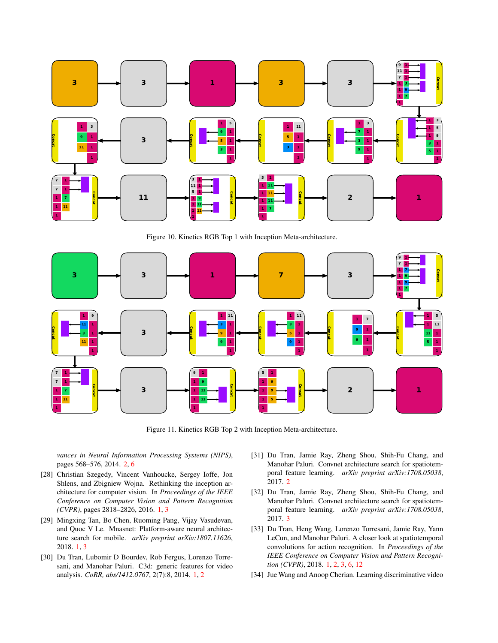

<span id="page-13-0"></span>Figure 10. Kinetics RGB Top 1 with Inception Meta-architecture.



<span id="page-13-1"></span>Figure 11. Kinetics RGB Top 2 with Inception Meta-architecture.

*vances in Neural Information Processing Systems (NIPS)*, pages 568–576, 2014. [2,](#page-1-2) [6](#page-5-2)

- [28] Christian Szegedy, Vincent Vanhoucke, Sergey Ioffe, Jon Shlens, and Zbigniew Wojna. Rethinking the inception architecture for computer vision. In *Proceedings of the IEEE Conference on Computer Vision and Pattern Recognition (CVPR)*, pages 2818–2826, 2016. [1,](#page-0-1) [3](#page-2-1)
- [29] Mingxing Tan, Bo Chen, Ruoming Pang, Vijay Vasudevan, and Quoc V Le. Mnasnet: Platform-aware neural architecture search for mobile. *arXiv preprint arXiv:1807.11626*, 2018. [1,](#page-0-1) [3](#page-2-1)
- [30] Du Tran, Lubomir D Bourdev, Rob Fergus, Lorenzo Torresani, and Manohar Paluri. C3d: generic features for video analysis. *CoRR, abs/1412.0767*, 2(7):8, 2014. [1,](#page-0-1) [2](#page-1-2)
- [31] Du Tran, Jamie Ray, Zheng Shou, Shih-Fu Chang, and Manohar Paluri. Convnet architecture search for spatiotemporal feature learning. *arXiv preprint arXiv:1708.05038*, 2017. [2](#page-1-2)
- [32] Du Tran, Jamie Ray, Zheng Shou, Shih-Fu Chang, and Manohar Paluri. Convnet architecture search for spatiotemporal feature learning. *arXiv preprint arXiv:1708.05038*, 2017. [3](#page-2-1)
- [33] Du Tran, Heng Wang, Lorenzo Torresani, Jamie Ray, Yann LeCun, and Manohar Paluri. A closer look at spatiotemporal convolutions for action recognition. In *Proceedings of the IEEE Conference on Computer Vision and Pattern Recognition (CVPR)*, 2018. [1,](#page-0-1) [2,](#page-1-2) [3,](#page-2-1) [6,](#page-5-2) [12](#page-11-1)
- [34] Jue Wang and Anoop Cherian. Learning discriminative video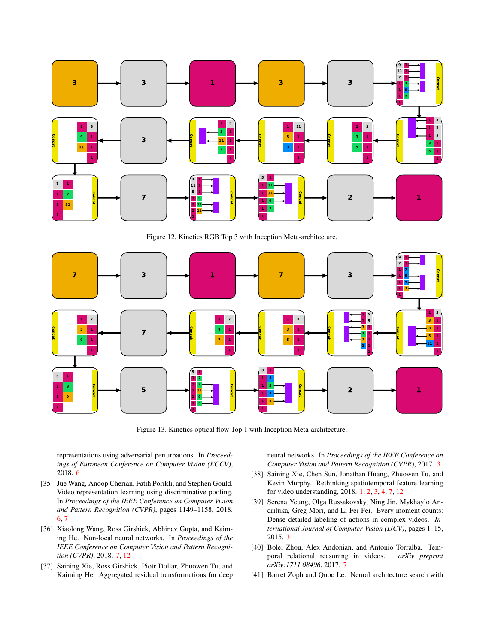

<span id="page-14-0"></span>Figure 12. Kinetics RGB Top 3 with Inception Meta-architecture.



<span id="page-14-1"></span>Figure 13. Kinetics optical flow Top 1 with Inception Meta-architecture.

representations using adversarial perturbations. In *Proceedings of European Conference on Computer Vision (ECCV)*, 2018. [6](#page-5-2)

- [35] Jue Wang, Anoop Cherian, Fatih Porikli, and Stephen Gould. Video representation learning using discriminative pooling. In *Proceedings of the IEEE Conference on Computer Vision and Pattern Recognition (CVPR)*, pages 1149–1158, 2018. [6,](#page-5-2) [7](#page-6-3)
- [36] Xiaolong Wang, Ross Girshick, Abhinav Gupta, and Kaiming He. Non-local neural networks. In *Proceedings of the IEEE Conference on Computer Vision and Pattern Recognition (CVPR)*, 2018. [7,](#page-6-3) [12](#page-11-1)
- [37] Saining Xie, Ross Girshick, Piotr Dollar, Zhuowen Tu, and Kaiming He. Aggregated residual transformations for deep

neural networks. In *Proceedings of the IEEE Conference on Computer Vision and Pattern Recognition (CVPR)*, 2017. [3](#page-2-1)

- [38] Saining Xie, Chen Sun, Jonathan Huang, Zhuowen Tu, and Kevin Murphy. Rethinking spatiotemporal feature learning for video understanding, 2018. [1,](#page-0-1) [2,](#page-1-2) [3,](#page-2-1) [4,](#page-3-2) [7,](#page-6-3) [12](#page-11-1)
- [39] Serena Yeung, Olga Russakovsky, Ning Jin, Mykhaylo Andriluka, Greg Mori, and Li Fei-Fei. Every moment counts: Dense detailed labeling of actions in complex videos. *International Journal of Computer Vision (IJCV)*, pages 1–15, 2015. [3](#page-2-1)
- [40] Bolei Zhou, Alex Andonian, and Antonio Torralba. Temporal relational reasoning in videos. *arXiv preprint arXiv:1711.08496*, 2017. [7](#page-6-3)
- [41] Barret Zoph and Quoc Le. Neural architecture search with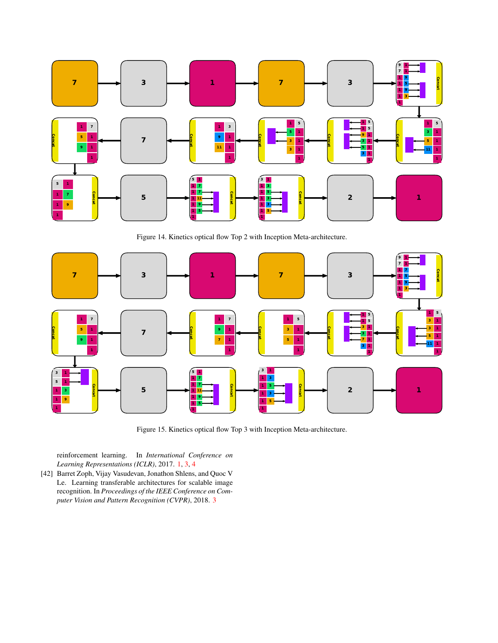

<span id="page-15-0"></span>Figure 14. Kinetics optical flow Top 2 with Inception Meta-architecture.



<span id="page-15-1"></span>Figure 15. Kinetics optical flow Top 3 with Inception Meta-architecture.

reinforcement learning. In *International Conference on Learning Representations (ICLR)*, 2017. [1,](#page-0-1) [3,](#page-2-1) [4](#page-3-2)

[42] Barret Zoph, Vijay Vasudevan, Jonathon Shlens, and Quoc V Le. Learning transferable architectures for scalable image recognition. In *Proceedings of the IEEE Conference on Computer Vision and Pattern Recognition (CVPR)*, 2018. [3](#page-2-1)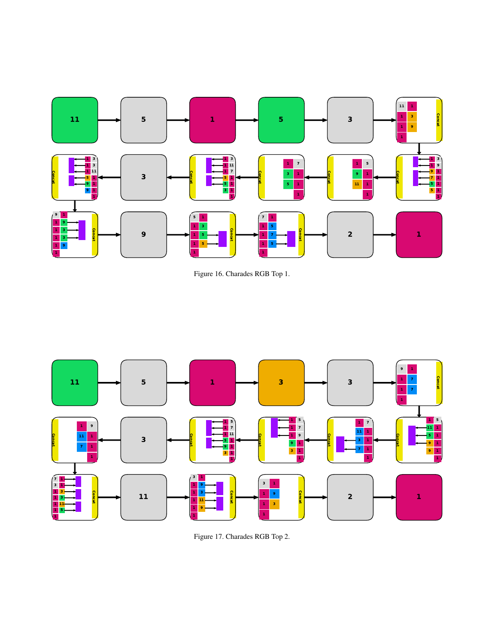

<span id="page-16-0"></span>



<span id="page-16-1"></span>Figure 17. Charades RGB Top 2.